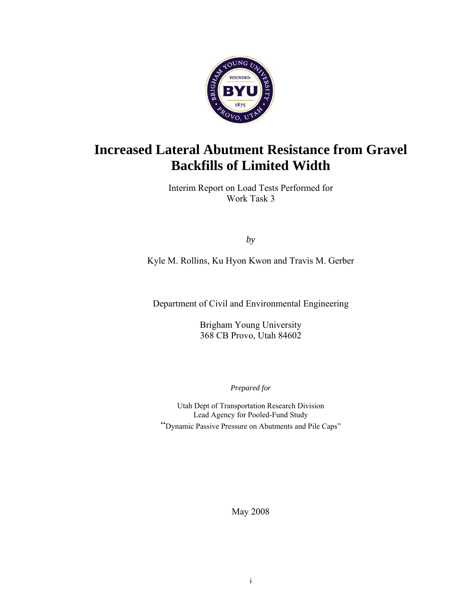

# **Increased Lateral Abutment Resistance from Gravel Backfills of Limited Width**

Interim Report on Load Tests Performed for Work Task 3

*by* 

Kyle M. Rollins, Ku Hyon Kwon and Travis M. Gerber

Department of Civil and Environmental Engineering

Brigham Young University 368 CB Provo, Utah 84602

*Prepared for* 

Utah Dept of Transportation Research Division Lead Agency for Pooled-Fund Study "Dynamic Passive Pressure on Abutments and Pile Caps"

May 2008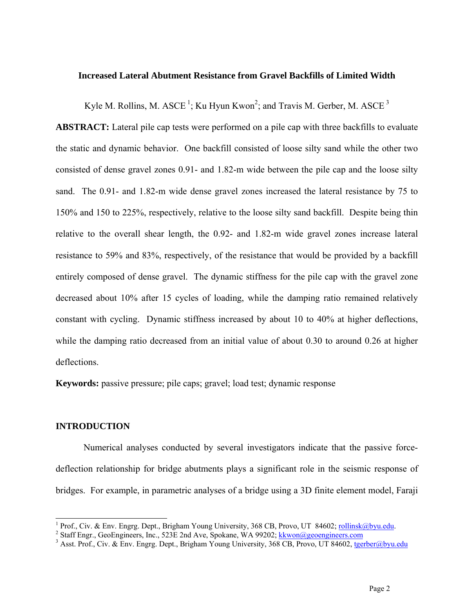#### **Increased Lateral Abutment Resistance from Gravel Backfills of Limited Width**

Kyle M. Rollins, M. ASCE<sup>1</sup>; Ku Hyun Kwon<sup>2</sup>; and Travis M. Gerber, M. ASCE<sup>3</sup>

**ABSTRACT:** Lateral pile cap tests were performed on a pile cap with three backfills to evaluate the static and dynamic behavior. One backfill consisted of loose silty sand while the other two consisted of dense gravel zones 0.91- and 1.82-m wide between the pile cap and the loose silty sand. The 0.91- and 1.82-m wide dense gravel zones increased the lateral resistance by 75 to 150% and 150 to 225%, respectively, relative to the loose silty sand backfill. Despite being thin relative to the overall shear length, the 0.92- and 1.82-m wide gravel zones increase lateral resistance to 59% and 83%, respectively, of the resistance that would be provided by a backfill entirely composed of dense gravel. The dynamic stiffness for the pile cap with the gravel zone decreased about 10% after 15 cycles of loading, while the damping ratio remained relatively constant with cycling. Dynamic stiffness increased by about 10 to 40% at higher deflections, while the damping ratio decreased from an initial value of about 0.30 to around 0.26 at higher deflections.

**Keywords:** passive pressure; pile caps; gravel; load test; dynamic response

# **INTRODUCTION**

j

Numerical analyses conducted by several investigators indicate that the passive forcedeflection relationship for bridge abutments plays a significant role in the seismic response of bridges. For example, in parametric analyses of a bridge using a 3D finite element model, Faraji

<sup>&</sup>lt;sup>1</sup> Prof., Civ. & Env. Engrg. Dept., Brigham Young University, 368 CB, Provo, UT 84602; <u>rollinsk@byu.edu</u>.

<sup>&</sup>lt;sup>2</sup> Staff Engr., GeoEngineers, Inc., 523E 2nd Ave, Spokane, WA 99202; kkwon@geoengineers.com

<sup>&</sup>lt;sup>3</sup> Asst. Prof., Civ. & Env. Engrg. Dept., Brigham Young University, 368 CB, Provo, UT 84602, tgerber@byu.edu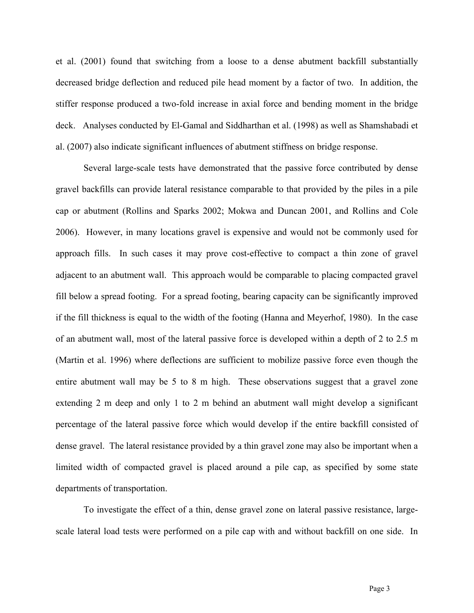et al. (2001) found that switching from a loose to a dense abutment backfill substantially decreased bridge deflection and reduced pile head moment by a factor of two. In addition, the stiffer response produced a two-fold increase in axial force and bending moment in the bridge deck. Analyses conducted by El-Gamal and Siddharthan et al. (1998) as well as Shamshabadi et al. (2007) also indicate significant influences of abutment stiffness on bridge response.

Several large-scale tests have demonstrated that the passive force contributed by dense gravel backfills can provide lateral resistance comparable to that provided by the piles in a pile cap or abutment (Rollins and Sparks 2002; Mokwa and Duncan 2001, and Rollins and Cole 2006). However, in many locations gravel is expensive and would not be commonly used for approach fills. In such cases it may prove cost-effective to compact a thin zone of gravel adjacent to an abutment wall. This approach would be comparable to placing compacted gravel fill below a spread footing. For a spread footing, bearing capacity can be significantly improved if the fill thickness is equal to the width of the footing (Hanna and Meyerhof, 1980). In the case of an abutment wall, most of the lateral passive force is developed within a depth of 2 to 2.5 m (Martin et al. 1996) where deflections are sufficient to mobilize passive force even though the entire abutment wall may be 5 to 8 m high. These observations suggest that a gravel zone extending 2 m deep and only 1 to 2 m behind an abutment wall might develop a significant percentage of the lateral passive force which would develop if the entire backfill consisted of dense gravel. The lateral resistance provided by a thin gravel zone may also be important when a limited width of compacted gravel is placed around a pile cap, as specified by some state departments of transportation.

To investigate the effect of a thin, dense gravel zone on lateral passive resistance, largescale lateral load tests were performed on a pile cap with and without backfill on one side. In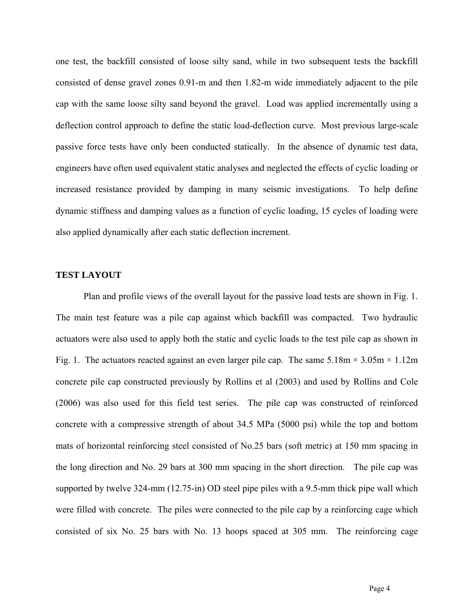one test, the backfill consisted of loose silty sand, while in two subsequent tests the backfill consisted of dense gravel zones 0.91-m and then 1.82-m wide immediately adjacent to the pile cap with the same loose silty sand beyond the gravel. Load was applied incrementally using a deflection control approach to define the static load-deflection curve. Most previous large-scale passive force tests have only been conducted statically. In the absence of dynamic test data, engineers have often used equivalent static analyses and neglected the effects of cyclic loading or increased resistance provided by damping in many seismic investigations. To help define dynamic stiffness and damping values as a function of cyclic loading, 15 cycles of loading were also applied dynamically after each static deflection increment.

#### **TEST LAYOUT**

Plan and profile views of the overall layout for the passive load tests are shown in Fig. 1. The main test feature was a pile cap against which backfill was compacted. Two hydraulic actuators were also used to apply both the static and cyclic loads to the test pile cap as shown in Fig. 1. The actuators reacted against an even larger pile cap. The same  $5.18 \text{m} \times 3.05 \text{m} \times 1.12 \text{m}$ concrete pile cap constructed previously by Rollins et al (2003) and used by Rollins and Cole (2006) was also used for this field test series. The pile cap was constructed of reinforced concrete with a compressive strength of about 34.5 MPa (5000 psi) while the top and bottom mats of horizontal reinforcing steel consisted of No.25 bars (soft metric) at 150 mm spacing in the long direction and No. 29 bars at 300 mm spacing in the short direction. The pile cap was supported by twelve 324-mm (12.75-in) OD steel pipe piles with a 9.5-mm thick pipe wall which were filled with concrete. The piles were connected to the pile cap by a reinforcing cage which consisted of six No. 25 bars with No. 13 hoops spaced at 305 mm. The reinforcing cage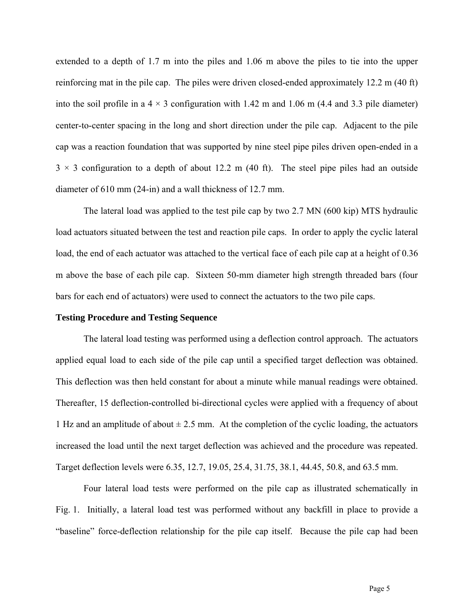extended to a depth of 1.7 m into the piles and 1.06 m above the piles to tie into the upper reinforcing mat in the pile cap. The piles were driven closed-ended approximately 12.2 m (40 ft) into the soil profile in a  $4 \times 3$  configuration with 1.42 m and 1.06 m (4.4 and 3.3 pile diameter) center-to-center spacing in the long and short direction under the pile cap. Adjacent to the pile cap was a reaction foundation that was supported by nine steel pipe piles driven open-ended in a  $3 \times 3$  configuration to a depth of about 12.2 m (40 ft). The steel pipe piles had an outside diameter of 610 mm (24-in) and a wall thickness of 12.7 mm.

The lateral load was applied to the test pile cap by two 2.7 MN (600 kip) MTS hydraulic load actuators situated between the test and reaction pile caps. In order to apply the cyclic lateral load, the end of each actuator was attached to the vertical face of each pile cap at a height of 0.36 m above the base of each pile cap. Sixteen 50-mm diameter high strength threaded bars (four bars for each end of actuators) were used to connect the actuators to the two pile caps.

### **Testing Procedure and Testing Sequence**

The lateral load testing was performed using a deflection control approach. The actuators applied equal load to each side of the pile cap until a specified target deflection was obtained. This deflection was then held constant for about a minute while manual readings were obtained. Thereafter, 15 deflection-controlled bi-directional cycles were applied with a frequency of about 1 Hz and an amplitude of about  $\pm 2.5$  mm. At the completion of the cyclic loading, the actuators increased the load until the next target deflection was achieved and the procedure was repeated. Target deflection levels were 6.35, 12.7, 19.05, 25.4, 31.75, 38.1, 44.45, 50.8, and 63.5 mm.

Four lateral load tests were performed on the pile cap as illustrated schematically in Fig. 1. Initially, a lateral load test was performed without any backfill in place to provide a "baseline" force-deflection relationship for the pile cap itself. Because the pile cap had been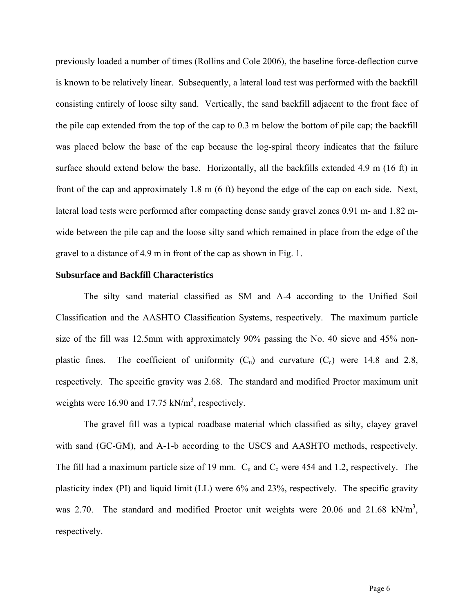previously loaded a number of times (Rollins and Cole 2006), the baseline force-deflection curve is known to be relatively linear. Subsequently, a lateral load test was performed with the backfill consisting entirely of loose silty sand. Vertically, the sand backfill adjacent to the front face of the pile cap extended from the top of the cap to 0.3 m below the bottom of pile cap; the backfill was placed below the base of the cap because the log-spiral theory indicates that the failure surface should extend below the base. Horizontally, all the backfills extended 4.9 m (16 ft) in front of the cap and approximately 1.8 m (6 ft) beyond the edge of the cap on each side. Next, lateral load tests were performed after compacting dense sandy gravel zones 0.91 m- and 1.82 mwide between the pile cap and the loose silty sand which remained in place from the edge of the gravel to a distance of 4.9 m in front of the cap as shown in Fig. 1.

#### **Subsurface and Backfill Characteristics**

The silty sand material classified as SM and A-4 according to the Unified Soil Classification and the AASHTO Classification Systems, respectively. The maximum particle size of the fill was 12.5mm with approximately 90% passing the No. 40 sieve and 45% nonplastic fines. The coefficient of uniformity  $(C_u)$  and curvature  $(C_c)$  were 14.8 and 2.8, respectively. The specific gravity was 2.68. The standard and modified Proctor maximum unit weights were 16.90 and 17.75  $kN/m<sup>3</sup>$ , respectively.

The gravel fill was a typical roadbase material which classified as silty, clayey gravel with sand (GC-GM), and A-1-b according to the USCS and AASHTO methods, respectively. The fill had a maximum particle size of 19 mm.  $C_u$  and  $C_c$  were 454 and 1.2, respectively. The plasticity index (PI) and liquid limit (LL) were 6% and 23%, respectively. The specific gravity was 2.70. The standard and modified Proctor unit weights were 20.06 and 21.68 kN/m<sup>3</sup>, respectively.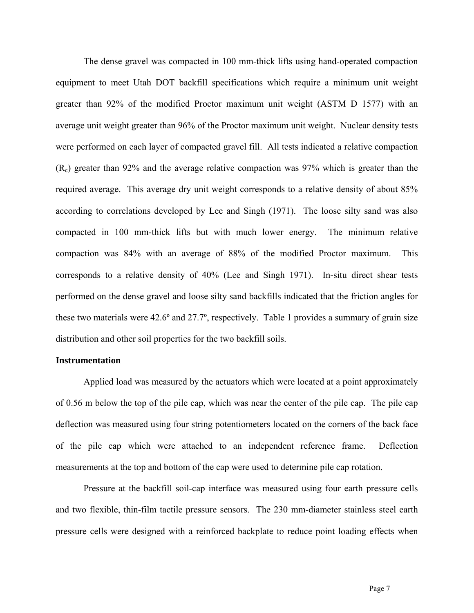The dense gravel was compacted in 100 mm-thick lifts using hand-operated compaction equipment to meet Utah DOT backfill specifications which require a minimum unit weight greater than 92% of the modified Proctor maximum unit weight (ASTM D 1577) with an average unit weight greater than 96% of the Proctor maximum unit weight. Nuclear density tests were performed on each layer of compacted gravel fill. All tests indicated a relative compaction  $(R<sub>c</sub>)$  greater than 92% and the average relative compaction was 97% which is greater than the required average. This average dry unit weight corresponds to a relative density of about 85% according to correlations developed by Lee and Singh (1971). The loose silty sand was also compacted in 100 mm-thick lifts but with much lower energy. The minimum relative compaction was 84% with an average of 88% of the modified Proctor maximum. This corresponds to a relative density of 40% (Lee and Singh 1971). In-situ direct shear tests performed on the dense gravel and loose silty sand backfills indicated that the friction angles for these two materials were 42.6º and 27.7º, respectively. Table 1 provides a summary of grain size distribution and other soil properties for the two backfill soils.

#### **Instrumentation**

Applied load was measured by the actuators which were located at a point approximately of 0.56 m below the top of the pile cap, which was near the center of the pile cap. The pile cap deflection was measured using four string potentiometers located on the corners of the back face of the pile cap which were attached to an independent reference frame. Deflection measurements at the top and bottom of the cap were used to determine pile cap rotation.

Pressure at the backfill soil-cap interface was measured using four earth pressure cells and two flexible, thin-film tactile pressure sensors. The 230 mm-diameter stainless steel earth pressure cells were designed with a reinforced backplate to reduce point loading effects when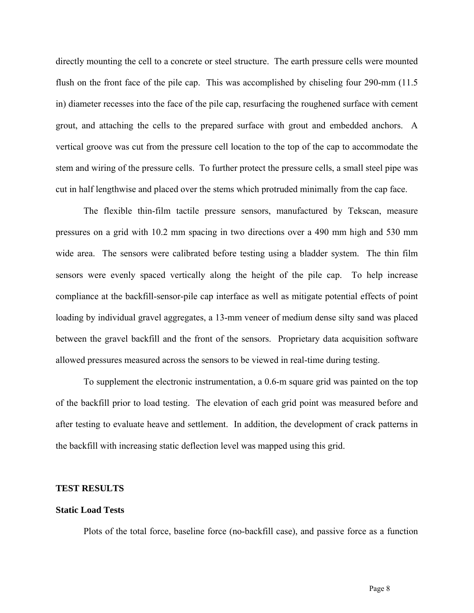directly mounting the cell to a concrete or steel structure. The earth pressure cells were mounted flush on the front face of the pile cap. This was accomplished by chiseling four 290-mm (11.5) in) diameter recesses into the face of the pile cap, resurfacing the roughened surface with cement grout, and attaching the cells to the prepared surface with grout and embedded anchors. A vertical groove was cut from the pressure cell location to the top of the cap to accommodate the stem and wiring of the pressure cells. To further protect the pressure cells, a small steel pipe was cut in half lengthwise and placed over the stems which protruded minimally from the cap face.

The flexible thin-film tactile pressure sensors, manufactured by Tekscan, measure pressures on a grid with 10.2 mm spacing in two directions over a 490 mm high and 530 mm wide area. The sensors were calibrated before testing using a bladder system. The thin film sensors were evenly spaced vertically along the height of the pile cap. To help increase compliance at the backfill-sensor-pile cap interface as well as mitigate potential effects of point loading by individual gravel aggregates, a 13-mm veneer of medium dense silty sand was placed between the gravel backfill and the front of the sensors. Proprietary data acquisition software allowed pressures measured across the sensors to be viewed in real-time during testing.

To supplement the electronic instrumentation, a 0.6-m square grid was painted on the top of the backfill prior to load testing. The elevation of each grid point was measured before and after testing to evaluate heave and settlement. In addition, the development of crack patterns in the backfill with increasing static deflection level was mapped using this grid.

#### **TEST RESULTS**

#### **Static Load Tests**

Plots of the total force, baseline force (no-backfill case), and passive force as a function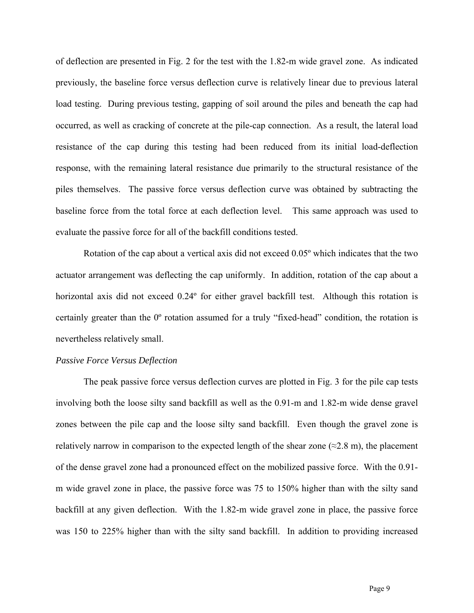of deflection are presented in Fig. 2 for the test with the 1.82-m wide gravel zone. As indicated previously, the baseline force versus deflection curve is relatively linear due to previous lateral load testing. During previous testing, gapping of soil around the piles and beneath the cap had occurred, as well as cracking of concrete at the pile-cap connection. As a result, the lateral load resistance of the cap during this testing had been reduced from its initial load-deflection response, with the remaining lateral resistance due primarily to the structural resistance of the piles themselves. The passive force versus deflection curve was obtained by subtracting the baseline force from the total force at each deflection level. This same approach was used to evaluate the passive force for all of the backfill conditions tested.

Rotation of the cap about a vertical axis did not exceed 0.05º which indicates that the two actuator arrangement was deflecting the cap uniformly. In addition, rotation of the cap about a horizontal axis did not exceed  $0.24^{\circ}$  for either gravel backfill test. Although this rotation is certainly greater than the 0º rotation assumed for a truly "fixed-head" condition, the rotation is nevertheless relatively small.

#### *Passive Force Versus Deflection*

The peak passive force versus deflection curves are plotted in Fig. 3 for the pile cap tests involving both the loose silty sand backfill as well as the 0.91-m and 1.82-m wide dense gravel zones between the pile cap and the loose silty sand backfill. Even though the gravel zone is relatively narrow in comparison to the expected length of the shear zone ( $\approx$ 2.8 m), the placement of the dense gravel zone had a pronounced effect on the mobilized passive force. With the 0.91 m wide gravel zone in place, the passive force was 75 to 150% higher than with the silty sand backfill at any given deflection. With the 1.82-m wide gravel zone in place, the passive force was 150 to 225% higher than with the silty sand backfill. In addition to providing increased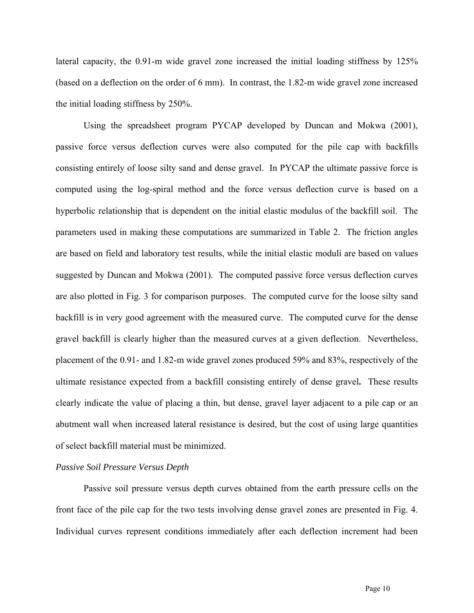lateral capacity, the 0.91-m wide gravel zone increased the initial loading stiffness by 125% (based on a deflection on the order of 6 mm). In contrast, the 1.82-m wide gravel zone increased the initial loading stiffness by 250%.

Using the spreadsheet program PYCAP developed by Duncan and Mokwa (2001), passive force versus deflection curves were also computed for the pile cap with backfills consisting entirely of loose silty sand and dense gravel. In PYCAP the ultimate passive force is computed using the log-spiral method and the force versus deflection curve is based on a hyperbolic relationship that is dependent on the initial elastic modulus of the backfill soil. The parameters used in making these computations are summarized in Table 2. The friction angles are based on field and laboratory test results, while the initial elastic moduli are based on values suggested by Duncan and Mokwa (2001). The computed passive force versus deflection curves are also plotted in Fig. 3 for comparison purposes. The computed curve for the loose silty sand backfill is in very good agreement with the measured curve. The computed curve for the dense gravel backfill is clearly higher than the measured curves at a given deflection. Nevertheless, placement of the 0.91- and 1.82-m wide gravel zones produced 59% and 83%, respectively of the ultimate resistance expected from a backfill consisting entirely of dense gravel**.** These results clearly indicate the value of placing a thin, but dense, gravel layer adjacent to a pile cap or an abutment wall when increased lateral resistance is desired, but the cost of using large quantities of select backfill material must be minimized.

# *Passive Soil Pressure Versus Depth*

Passive soil pressure versus depth curves obtained from the earth pressure cells on the front face of the pile cap for the two tests involving dense gravel zones are presented in Fig. 4. Individual curves represent conditions immediately after each deflection increment had been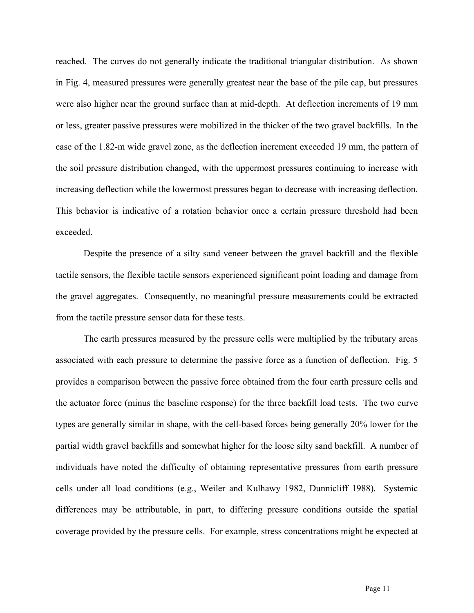reached. The curves do not generally indicate the traditional triangular distribution. As shown in Fig. 4, measured pressures were generally greatest near the base of the pile cap, but pressures were also higher near the ground surface than at mid-depth. At deflection increments of 19 mm or less, greater passive pressures were mobilized in the thicker of the two gravel backfills. In the case of the 1.82-m wide gravel zone, as the deflection increment exceeded 19 mm, the pattern of the soil pressure distribution changed, with the uppermost pressures continuing to increase with increasing deflection while the lowermost pressures began to decrease with increasing deflection. This behavior is indicative of a rotation behavior once a certain pressure threshold had been exceeded.

Despite the presence of a silty sand veneer between the gravel backfill and the flexible tactile sensors, the flexible tactile sensors experienced significant point loading and damage from the gravel aggregates. Consequently, no meaningful pressure measurements could be extracted from the tactile pressure sensor data for these tests.

The earth pressures measured by the pressure cells were multiplied by the tributary areas associated with each pressure to determine the passive force as a function of deflection. Fig. 5 provides a comparison between the passive force obtained from the four earth pressure cells and the actuator force (minus the baseline response) for the three backfill load tests. The two curve types are generally similar in shape, with the cell-based forces being generally 20% lower for the partial width gravel backfills and somewhat higher for the loose silty sand backfill. A number of individuals have noted the difficulty of obtaining representative pressures from earth pressure cells under all load conditions (e.g., Weiler and Kulhawy 1982, Dunnicliff 1988)*.* Systemic differences may be attributable, in part, to differing pressure conditions outside the spatial coverage provided by the pressure cells. For example, stress concentrations might be expected at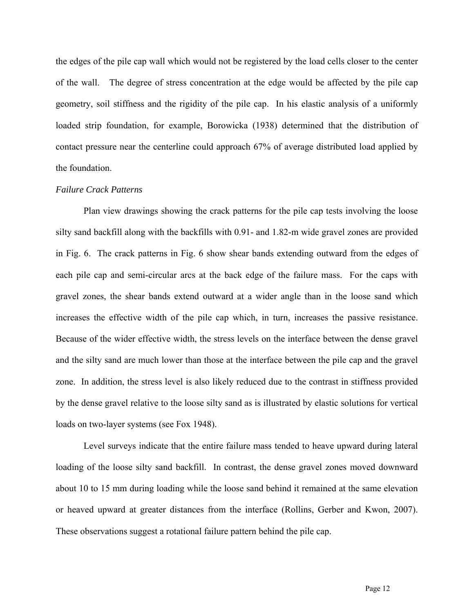the edges of the pile cap wall which would not be registered by the load cells closer to the center of the wall. The degree of stress concentration at the edge would be affected by the pile cap geometry, soil stiffness and the rigidity of the pile cap. In his elastic analysis of a uniformly loaded strip foundation, for example, Borowicka (1938) determined that the distribution of contact pressure near the centerline could approach 67% of average distributed load applied by the foundation.

#### *Failure Crack Patterns*

Plan view drawings showing the crack patterns for the pile cap tests involving the loose silty sand backfill along with the backfills with 0.91- and 1.82-m wide gravel zones are provided in Fig. 6. The crack patterns in Fig. 6 show shear bands extending outward from the edges of each pile cap and semi-circular arcs at the back edge of the failure mass. For the caps with gravel zones, the shear bands extend outward at a wider angle than in the loose sand which increases the effective width of the pile cap which, in turn, increases the passive resistance. Because of the wider effective width, the stress levels on the interface between the dense gravel and the silty sand are much lower than those at the interface between the pile cap and the gravel zone. In addition, the stress level is also likely reduced due to the contrast in stiffness provided by the dense gravel relative to the loose silty sand as is illustrated by elastic solutions for vertical loads on two-layer systems (see Fox 1948).

Level surveys indicate that the entire failure mass tended to heave upward during lateral loading of the loose silty sand backfill. In contrast, the dense gravel zones moved downward about 10 to 15 mm during loading while the loose sand behind it remained at the same elevation or heaved upward at greater distances from the interface (Rollins, Gerber and Kwon, 2007). These observations suggest a rotational failure pattern behind the pile cap.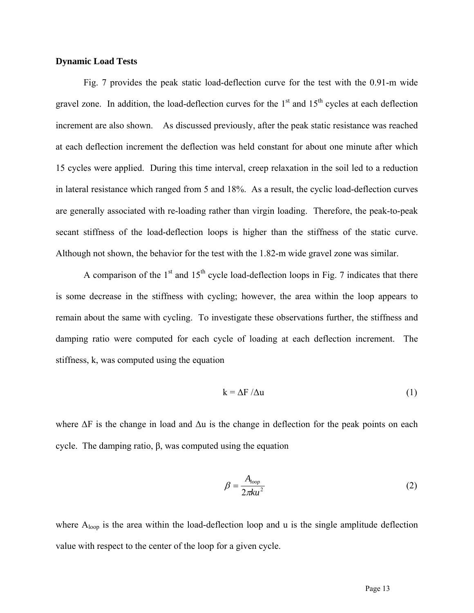# **Dynamic Load Tests**

Fig. 7 provides the peak static load-deflection curve for the test with the 0.91-m wide gravel zone. In addition, the load-deflection curves for the  $1<sup>st</sup>$  and  $15<sup>th</sup>$  cycles at each deflection increment are also shown. As discussed previously, after the peak static resistance was reached at each deflection increment the deflection was held constant for about one minute after which 15 cycles were applied. During this time interval, creep relaxation in the soil led to a reduction in lateral resistance which ranged from 5 and 18%. As a result, the cyclic load-deflection curves are generally associated with re-loading rather than virgin loading. Therefore, the peak-to-peak secant stiffness of the load-deflection loops is higher than the stiffness of the static curve. Although not shown, the behavior for the test with the 1.82-m wide gravel zone was similar.

A comparison of the  $1<sup>st</sup>$  and  $15<sup>th</sup>$  cycle load-deflection loops in Fig. 7 indicates that there is some decrease in the stiffness with cycling; however, the area within the loop appears to remain about the same with cycling. To investigate these observations further, the stiffness and damping ratio were computed for each cycle of loading at each deflection increment. The stiffness, k, was computed using the equation

$$
k = \Delta F / \Delta u \tag{1}
$$

where  $\Delta F$  is the change in load and  $\Delta u$  is the change in deflection for the peak points on each cycle. The damping ratio,  $β$ , was computed using the equation

$$
\beta = \frac{A_{loop}}{2\pi k u^2} \tag{2}
$$

where  $A_{loop}$  is the area within the load-deflection loop and u is the single amplitude deflection value with respect to the center of the loop for a given cycle.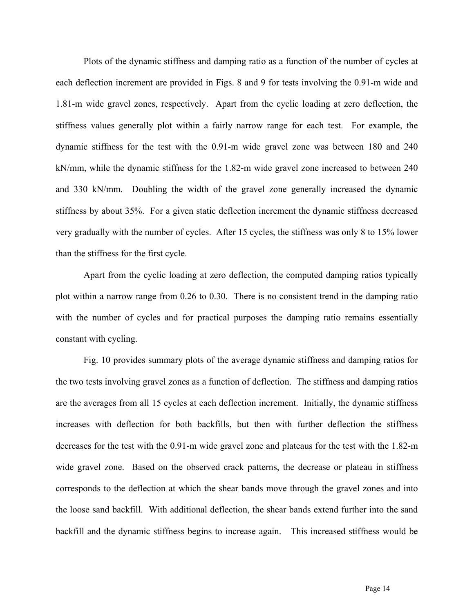Plots of the dynamic stiffness and damping ratio as a function of the number of cycles at each deflection increment are provided in Figs. 8 and 9 for tests involving the 0.91-m wide and 1.81-m wide gravel zones, respectively. Apart from the cyclic loading at zero deflection, the stiffness values generally plot within a fairly narrow range for each test. For example, the dynamic stiffness for the test with the 0.91-m wide gravel zone was between 180 and 240 kN/mm, while the dynamic stiffness for the 1.82-m wide gravel zone increased to between 240 and 330 kN/mm. Doubling the width of the gravel zone generally increased the dynamic stiffness by about 35%. For a given static deflection increment the dynamic stiffness decreased very gradually with the number of cycles. After 15 cycles, the stiffness was only 8 to 15% lower than the stiffness for the first cycle.

Apart from the cyclic loading at zero deflection, the computed damping ratios typically plot within a narrow range from 0.26 to 0.30. There is no consistent trend in the damping ratio with the number of cycles and for practical purposes the damping ratio remains essentially constant with cycling.

Fig. 10 provides summary plots of the average dynamic stiffness and damping ratios for the two tests involving gravel zones as a function of deflection. The stiffness and damping ratios are the averages from all 15 cycles at each deflection increment. Initially, the dynamic stiffness increases with deflection for both backfills, but then with further deflection the stiffness decreases for the test with the 0.91-m wide gravel zone and plateaus for the test with the 1.82-m wide gravel zone. Based on the observed crack patterns, the decrease or plateau in stiffness corresponds to the deflection at which the shear bands move through the gravel zones and into the loose sand backfill. With additional deflection, the shear bands extend further into the sand backfill and the dynamic stiffness begins to increase again. This increased stiffness would be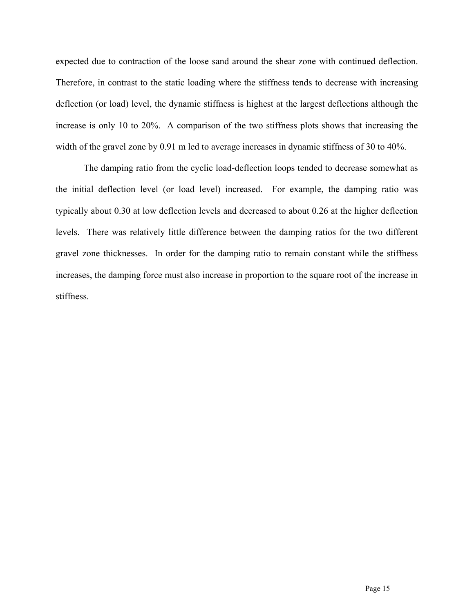expected due to contraction of the loose sand around the shear zone with continued deflection. Therefore, in contrast to the static loading where the stiffness tends to decrease with increasing deflection (or load) level, the dynamic stiffness is highest at the largest deflections although the increase is only 10 to 20%. A comparison of the two stiffness plots shows that increasing the width of the gravel zone by 0.91 m led to average increases in dynamic stiffness of 30 to 40%.

The damping ratio from the cyclic load-deflection loops tended to decrease somewhat as the initial deflection level (or load level) increased. For example, the damping ratio was typically about 0.30 at low deflection levels and decreased to about 0.26 at the higher deflection levels. There was relatively little difference between the damping ratios for the two different gravel zone thicknesses. In order for the damping ratio to remain constant while the stiffness increases, the damping force must also increase in proportion to the square root of the increase in stiffness.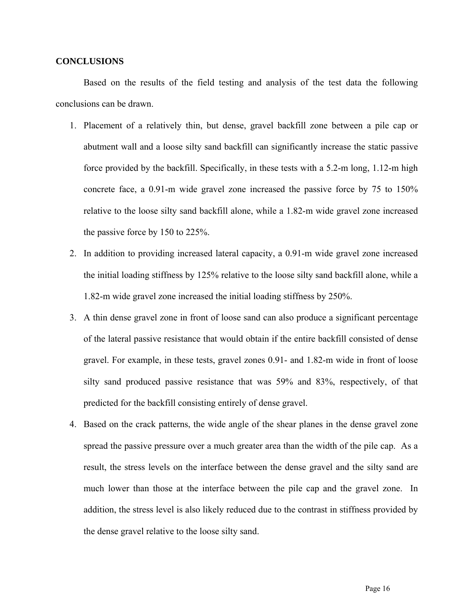## **CONCLUSIONS**

Based on the results of the field testing and analysis of the test data the following conclusions can be drawn.

- 1. Placement of a relatively thin, but dense, gravel backfill zone between a pile cap or abutment wall and a loose silty sand backfill can significantly increase the static passive force provided by the backfill. Specifically, in these tests with a 5.2-m long, 1.12-m high concrete face, a 0.91-m wide gravel zone increased the passive force by 75 to 150% relative to the loose silty sand backfill alone, while a 1.82-m wide gravel zone increased the passive force by 150 to 225%.
- 2. In addition to providing increased lateral capacity, a 0.91-m wide gravel zone increased the initial loading stiffness by 125% relative to the loose silty sand backfill alone, while a 1.82-m wide gravel zone increased the initial loading stiffness by 250%.
- 3. A thin dense gravel zone in front of loose sand can also produce a significant percentage of the lateral passive resistance that would obtain if the entire backfill consisted of dense gravel. For example, in these tests, gravel zones 0.91- and 1.82-m wide in front of loose silty sand produced passive resistance that was 59% and 83%, respectively, of that predicted for the backfill consisting entirely of dense gravel.
- 4. Based on the crack patterns, the wide angle of the shear planes in the dense gravel zone spread the passive pressure over a much greater area than the width of the pile cap. As a result, the stress levels on the interface between the dense gravel and the silty sand are much lower than those at the interface between the pile cap and the gravel zone. In addition, the stress level is also likely reduced due to the contrast in stiffness provided by the dense gravel relative to the loose silty sand.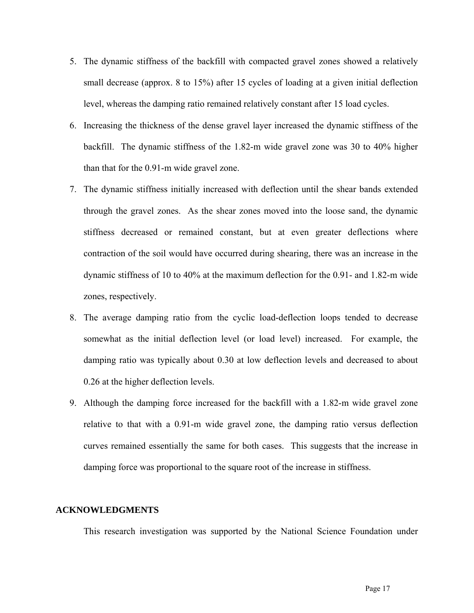- 5. The dynamic stiffness of the backfill with compacted gravel zones showed a relatively small decrease (approx. 8 to 15%) after 15 cycles of loading at a given initial deflection level, whereas the damping ratio remained relatively constant after 15 load cycles.
- 6. Increasing the thickness of the dense gravel layer increased the dynamic stiffness of the backfill. The dynamic stiffness of the 1.82-m wide gravel zone was 30 to 40% higher than that for the 0.91-m wide gravel zone.
- 7. The dynamic stiffness initially increased with deflection until the shear bands extended through the gravel zones. As the shear zones moved into the loose sand, the dynamic stiffness decreased or remained constant, but at even greater deflections where contraction of the soil would have occurred during shearing, there was an increase in the dynamic stiffness of 10 to 40% at the maximum deflection for the 0.91- and 1.82-m wide zones, respectively.
- 8. The average damping ratio from the cyclic load-deflection loops tended to decrease somewhat as the initial deflection level (or load level) increased. For example, the damping ratio was typically about 0.30 at low deflection levels and decreased to about 0.26 at the higher deflection levels.
- 9. Although the damping force increased for the backfill with a 1.82-m wide gravel zone relative to that with a 0.91-m wide gravel zone, the damping ratio versus deflection curves remained essentially the same for both cases. This suggests that the increase in damping force was proportional to the square root of the increase in stiffness.

#### **ACKNOWLEDGMENTS**

This research investigation was supported by the National Science Foundation under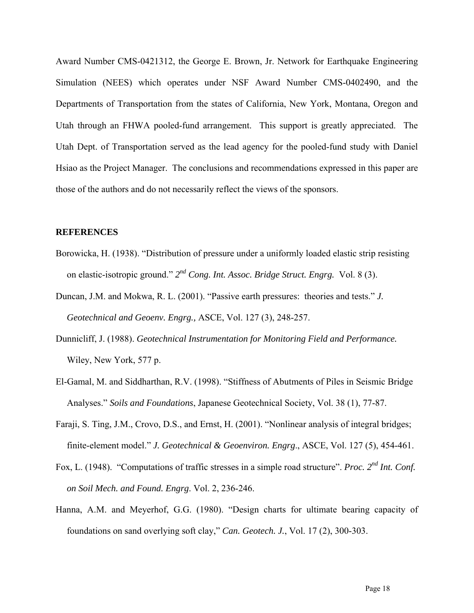Award Number CMS-0421312, the George E. Brown, Jr. Network for Earthquake Engineering Simulation (NEES) which operates under NSF Award Number CMS-0402490, and the Departments of Transportation from the states of California, New York, Montana, Oregon and Utah through an FHWA pooled-fund arrangement. This support is greatly appreciated. The Utah Dept. of Transportation served as the lead agency for the pooled-fund study with Daniel Hsiao as the Project Manager. The conclusions and recommendations expressed in this paper are those of the authors and do not necessarily reflect the views of the sponsors.

# **REFERENCES**

- Borowicka, H. (1938). "Distribution of pressure under a uniformly loaded elastic strip resisting on elastic-isotropic ground." *2nd Cong. Int. Assoc. Bridge Struct. Engrg.* Vol. 8 (3).
- Duncan, J.M. and Mokwa, R. L. (2001). "Passive earth pressures: theories and tests." *J. Geotechnical and Geoenv. Engrg.,* ASCE, Vol. 127 (3), 248-257.
- Dunnicliff, J. (1988). *Geotechnical Instrumentation for Monitoring Field and Performance.* Wiley, New York, 577 p.
- El-Gamal, M. and Siddharthan, R.V. (1998). "Stiffness of Abutments of Piles in Seismic Bridge Analyses." *Soils and Foundations*, Japanese Geotechnical Society, Vol. 38 (1), 77-87.
- Faraji, S. Ting, J.M., Crovo, D.S., and Ernst, H. (2001). "Nonlinear analysis of integral bridges; finite-element model." *J. Geotechnical & Geoenviron. Engrg*., ASCE, Vol. 127 (5), 454-461.
- Fox, L. (1948). "Computations of traffic stresses in a simple road structure". *Proc. 2nd Int. Conf. on Soil Mech. and Found. Engrg*. Vol. 2, 236-246.
- Hanna, A.M. and Meyerhof, G.G. (1980). "Design charts for ultimate bearing capacity of foundations on sand overlying soft clay," *Can. Geotech. J.*, Vol. 17 (2), 300-303.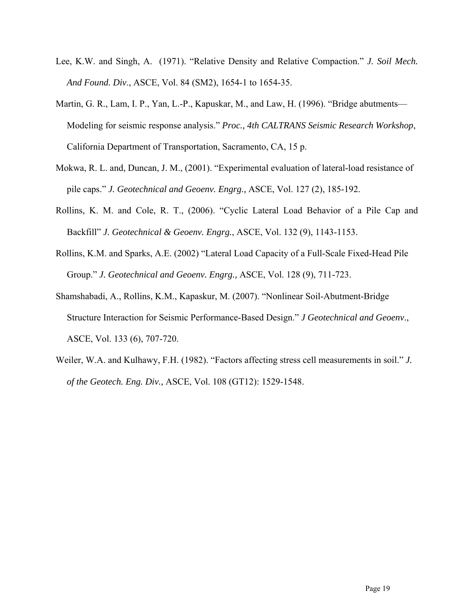- Lee, K.W. and Singh, A. (1971). "Relative Density and Relative Compaction." *J. Soil Mech. And Found. Div*., ASCE, Vol. 84 (SM2), 1654-1 to 1654-35.
- Martin, G. R., Lam, I. P., Yan, L.-P., Kapuskar, M., and Law, H. (1996). "Bridge abutments— Modeling for seismic response analysis." *Proc., 4th CALTRANS Seismic Research Workshop*, California Department of Transportation, Sacramento, CA, 15 p.
- Mokwa, R. L. and, Duncan, J. M., (2001). "Experimental evaluation of lateral-load resistance of pile caps." *J. Geotechnical and Geoenv. Engrg.,* ASCE, Vol. 127 (2), 185-192.
- Rollins, K. M. and Cole, R. T., (2006). "Cyclic Lateral Load Behavior of a Pile Cap and Backfill" *J. Geotechnical & Geoenv. Engrg.*, ASCE, Vol. 132 (9), 1143-1153.
- Rollins, K.M. and Sparks, A.E. (2002) "Lateral Load Capacity of a Full-Scale Fixed-Head Pile Group." *J. Geotechnical and Geoenv. Engrg.,* ASCE, Vol. 128 (9), 711-723.
- Shamshabadi, A., Rollins, K.M., Kapaskur, M. (2007). "Nonlinear Soil-Abutment-Bridge Structure Interaction for Seismic Performance-Based Design." *J Geotechnical and Geoenv*., ASCE, Vol. 133 (6), 707-720.
- Weiler, W.A. and Kulhawy, F.H. (1982). "Factors affecting stress cell measurements in soil." *J. of the Geotech. Eng. Div.,* ASCE, Vol. 108 (GT12): 1529-1548.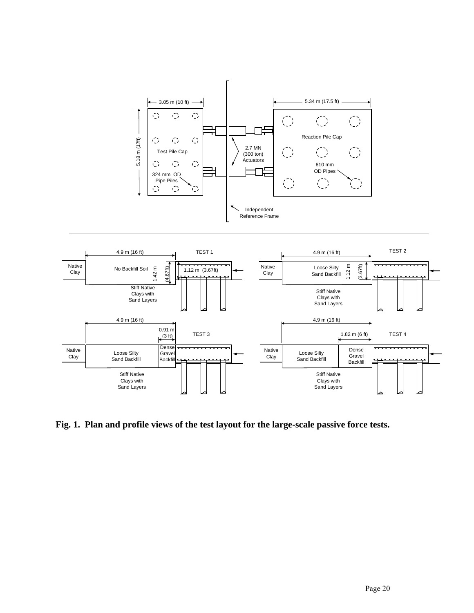

**Fig. 1. Plan and profile views of the test layout for the large-scale passive force tests.**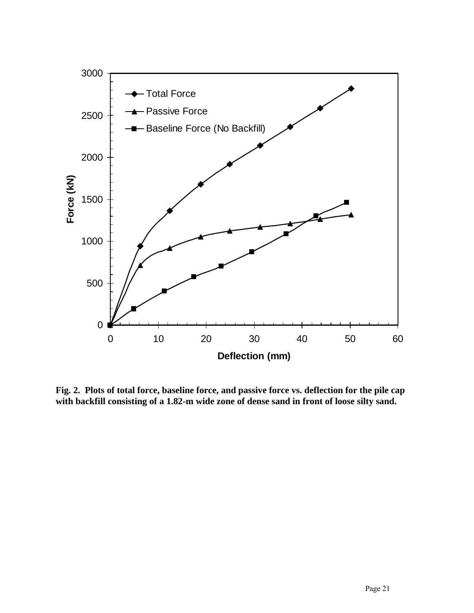

**Fig. 2. Plots of total force, baseline force, and passive force vs. deflection for the pile cap with backfill consisting of a 1.82-m wide zone of dense sand in front of loose silty sand.**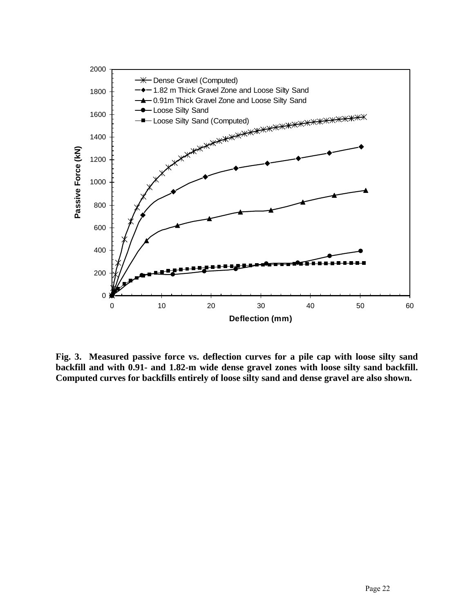

**Fig. 3. Measured passive force vs. deflection curves for a pile cap with loose silty sand backfill and with 0.91- and 1.82-m wide dense gravel zones with loose silty sand backfill. Computed curves for backfills entirely of loose silty sand and dense gravel are also shown.**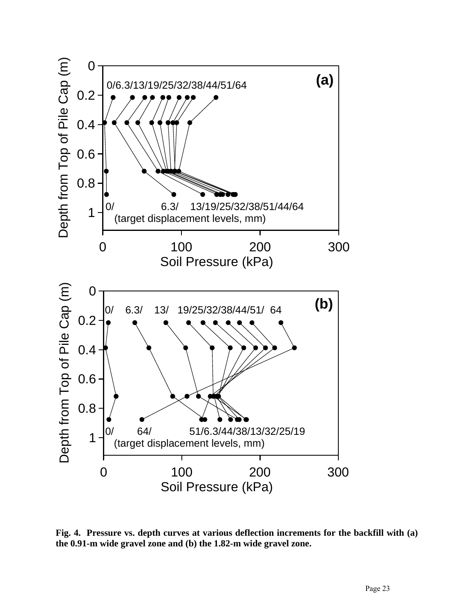

**Fig. 4. Pressure vs. depth curves at various deflection increments for the backfill with (a) the 0.91-m wide gravel zone and (b) the 1.82-m wide gravel zone.**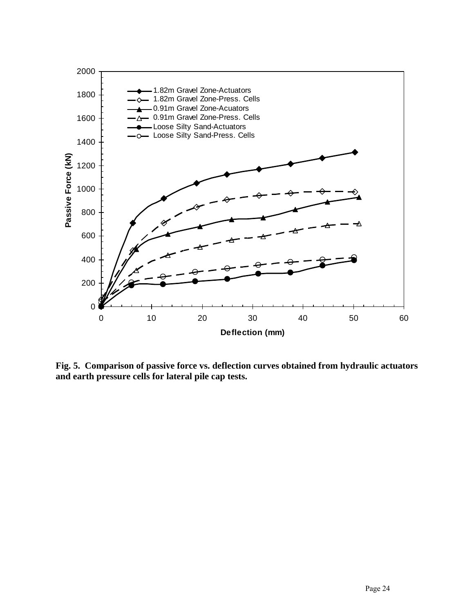

**Fig. 5. Comparison of passive force vs. deflection curves obtained from hydraulic actuators and earth pressure cells for lateral pile cap tests.**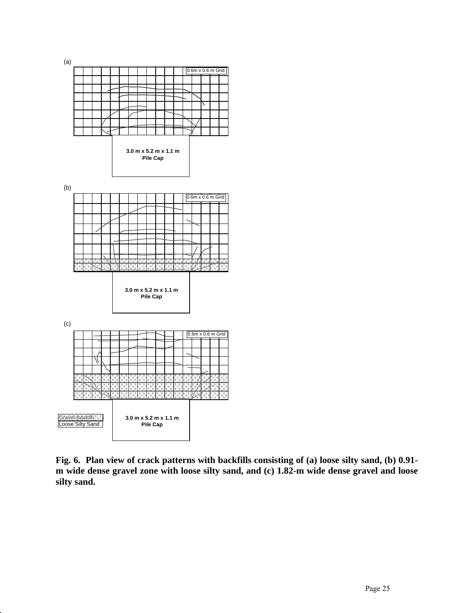

**Fig. 6. Plan view of crack patterns with backfills consisting of (a) loose silty sand, (b) 0.91 m wide dense gravel zone with loose silty sand, and (c) 1.82-m wide dense gravel and loose silty sand.**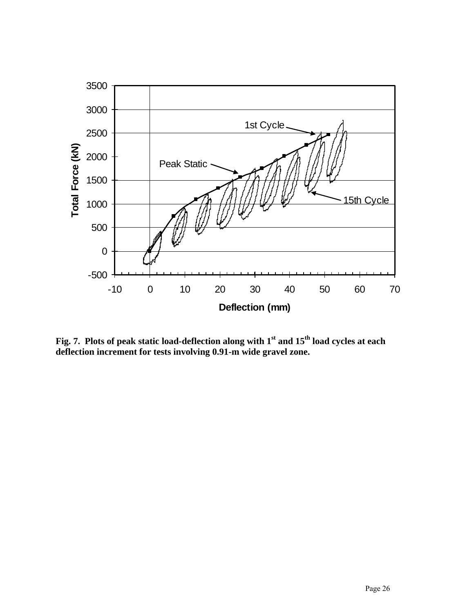

**Fig. 7. Plots of peak static load-deflection along with 1st and 15th load cycles at each deflection increment for tests involving 0.91-m wide gravel zone.**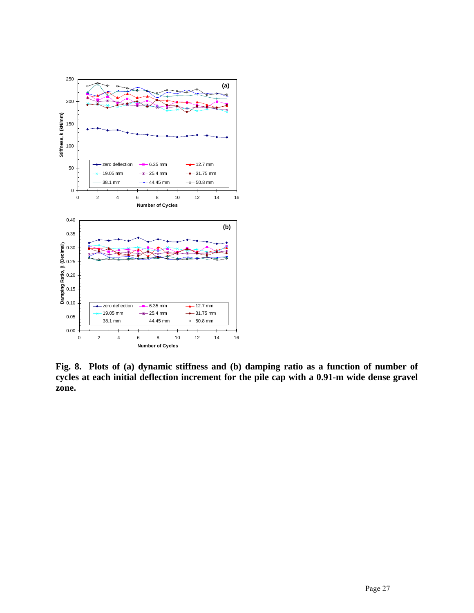

**Fig. 8. Plots of (a) dynamic stiffness and (b) damping ratio as a function of number of cycles at each initial deflection increment for the pile cap with a 0.91-m wide dense gravel zone.**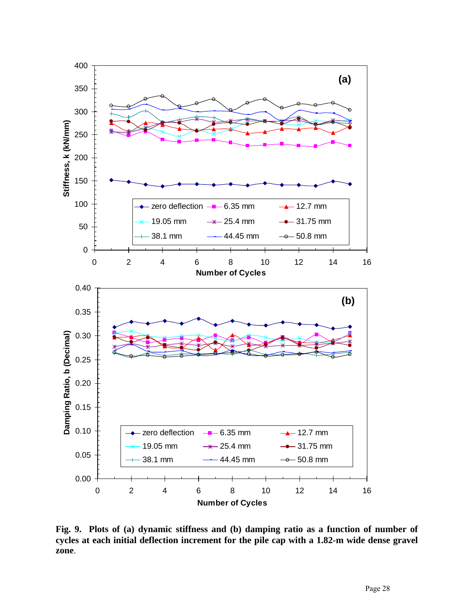

**Fig. 9. Plots of (a) dynamic stiffness and (b) damping ratio as a function of number of cycles at each initial deflection increment for the pile cap with a 1.82-m wide dense gravel zone**.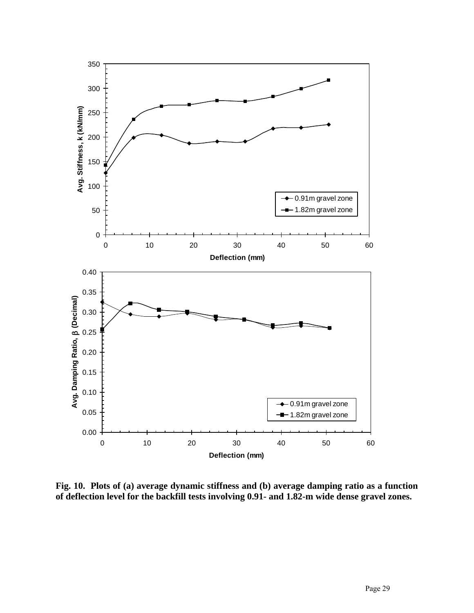

**Fig. 10. Plots of (a) average dynamic stiffness and (b) average damping ratio as a function of deflection level for the backfill tests involving 0.91- and 1.82-m wide dense gravel zones.**